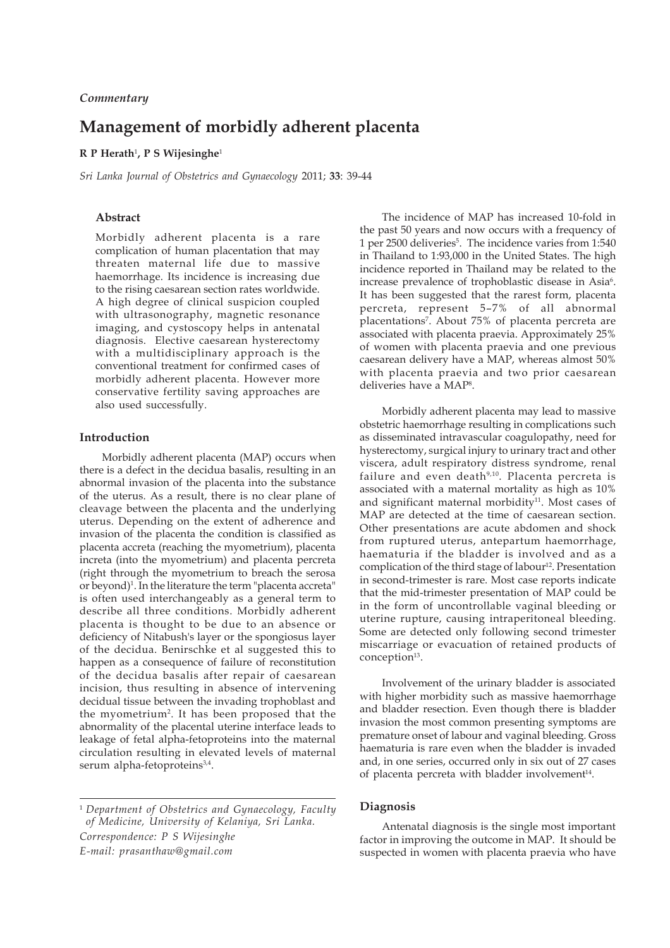# **Management of morbidly adherent placenta**

## **R P Herath**<sup>1</sup> **, P S Wijesinghe**<sup>1</sup>

*Sri Lanka Journal of Obstetrics and Gynaecology* 2011; **33**: 39-44

# **Abstract**

Morbidly adherent placenta is a rare complication of human placentation that may threaten maternal life due to massive haemorrhage. Its incidence is increasing due to the rising caesarean section rates worldwide. A high degree of clinical suspicion coupled with ultrasonography, magnetic resonance imaging, and cystoscopy helps in antenatal diagnosis. Elective caesarean hysterectomy with a multidisciplinary approach is the conventional treatment for confirmed cases of morbidly adherent placenta. However more conservative fertility saving approaches are also used successfully.

# **Introduction**

Morbidly adherent placenta (MAP) occurs when there is a defect in the decidua basalis, resulting in an abnormal invasion of the placenta into the substance of the uterus. As a result, there is no clear plane of cleavage between the placenta and the underlying uterus. Depending on the extent of adherence and invasion of the placenta the condition is classified as placenta accreta (reaching the myometrium), placenta increta (into the myometrium) and placenta percreta (right through the myometrium to breach the serosa or beyond)<sup>1</sup>. In the literature the term "placenta accreta" is often used interchangeably as a general term to describe all three conditions. Morbidly adherent placenta is thought to be due to an absence or deficiency of Nitabush's layer or the spongiosus layer of the decidua. Benirschke et al suggested this to happen as a consequence of failure of reconstitution of the decidua basalis after repair of caesarean incision, thus resulting in absence of intervening decidual tissue between the invading trophoblast and the myometrium<sup>2</sup>. It has been proposed that the abnormality of the placental uterine interface leads to leakage of fetal alpha-fetoproteins into the maternal circulation resulting in elevated levels of maternal serum alpha-fetoproteins<sup>3,4</sup>.

<sup>1</sup> *Department of Obstetrics and Gynaecology, Faculty of Medicine, University of Kelaniya, Sri Lanka. Correspondence: P S Wijesinghe E-mail: prasanthaw@gmail.com*

The incidence of MAP has increased 10-fold in the past 50 years and now occurs with a frequency of 1 per 2500 deliveries<sup>5</sup>. The incidence varies from 1:540 in Thailand to 1:93,000 in the United States. The high incidence reported in Thailand may be related to the increase prevalence of trophoblastic disease in Asia<sup>6</sup>. It has been suggested that the rarest form, placenta percreta, represent 5–7% of all abnormal placentations7 . About 75% of placenta percreta are associated with placenta praevia. Approximately 25% of women with placenta praevia and one previous caesarean delivery have a MAP, whereas almost 50% with placenta praevia and two prior caesarean deliveries have a MAP<sup>8</sup>.

Morbidly adherent placenta may lead to massive obstetric haemorrhage resulting in complications such as disseminated intravascular coagulopathy, need for hysterectomy, surgical injury to urinary tract and other viscera, adult respiratory distress syndrome, renal failure and even death<sup>9,10</sup>. Placenta percreta is associated with a maternal mortality as high as 10% and significant maternal morbidity<sup>11</sup>. Most cases of MAP are detected at the time of caesarean section. Other presentations are acute abdomen and shock from ruptured uterus, antepartum haemorrhage, haematuria if the bladder is involved and as a complication of the third stage of labour<sup>12</sup>. Presentation in second-trimester is rare. Most case reports indicate that the mid-trimester presentation of MAP could be in the form of uncontrollable vaginal bleeding or uterine rupture, causing intraperitoneal bleeding. Some are detected only following second trimester miscarriage or evacuation of retained products of conception<sup>13</sup>.

Involvement of the urinary bladder is associated with higher morbidity such as massive haemorrhage and bladder resection. Even though there is bladder invasion the most common presenting symptoms are premature onset of labour and vaginal bleeding. Gross haematuria is rare even when the bladder is invaded and, in one series, occurred only in six out of 27 cases of placenta percreta with bladder involvement<sup>14</sup>.

## **Diagnosis**

Antenatal diagnosis is the single most important factor in improving the outcome in MAP. It should be suspected in women with placenta praevia who have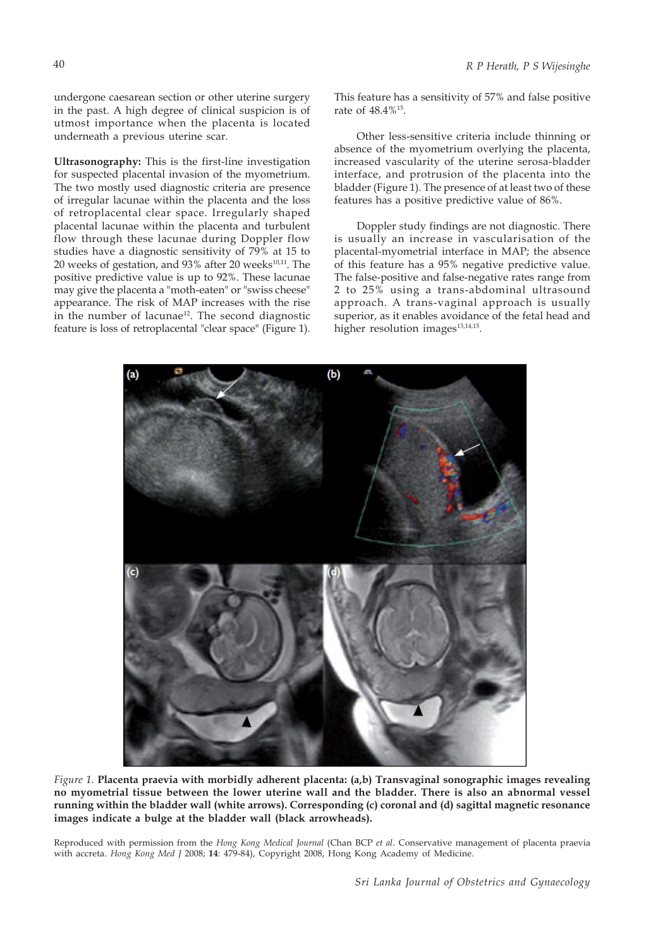undergone caesarean section or other uterine surgery in the past. A high degree of clinical suspicion is of utmost importance when the placenta is located underneath a previous uterine scar.

**Ultrasonography:** This is the first-line investigation for suspected placental invasion of the myometrium. The two mostly used diagnostic criteria are presence of irregular lacunae within the placenta and the loss of retroplacental clear space. Irregularly shaped placental lacunae within the placenta and turbulent flow through these lacunae during Doppler flow studies have a diagnostic sensitivity of 79% at 15 to 20 weeks of gestation, and 93% after 20 weeks<sup>10,11</sup>. The positive predictive value is up to 92%. These lacunae may give the placenta a "moth-eaten" or "swiss cheese" appearance. The risk of MAP increases with the rise in the number of lacunae<sup>12</sup>. The second diagnostic feature is loss of retroplacental "clear space" (Figure 1).

This feature has a sensitivity of 57% and false positive rate of 48.4%15.

Other less-sensitive criteria include thinning or absence of the myometrium overlying the placenta, increased vascularity of the uterine serosa-bladder interface, and protrusion of the placenta into the bladder (Figure 1). The presence of at least two of these features has a positive predictive value of 86%.

Doppler study findings are not diagnostic. There is usually an increase in vascularisation of the placental-myometrial interface in MAP; the absence of this feature has a 95% negative predictive value. The false-positive and false-negative rates range from 2 to 25% using a trans-abdominal ultrasound approach. A trans-vaginal approach is usually superior, as it enables avoidance of the fetal head and higher resolution images<sup>13,14,15</sup>.



*Figure 1.* **Placenta praevia with morbidly adherent placenta: (a,b) Transvaginal sonographic images revealing no myometrial tissue between the lower uterine wall and the bladder. There is also an abnormal vessel running within the bladder wall (white arrows). Corresponding (c) coronal and (d) sagittal magnetic resonance images indicate a bulge at the bladder wall (black arrowheads).**

Reproduced with permission from the *Hong Kong Medical Journal* (Chan BCP *et al*. Conservative management of placenta praevia with accreta. *Hong Kong Med J* 2008; **14**: 479-84), Copyright 2008, Hong Kong Academy of Medicine.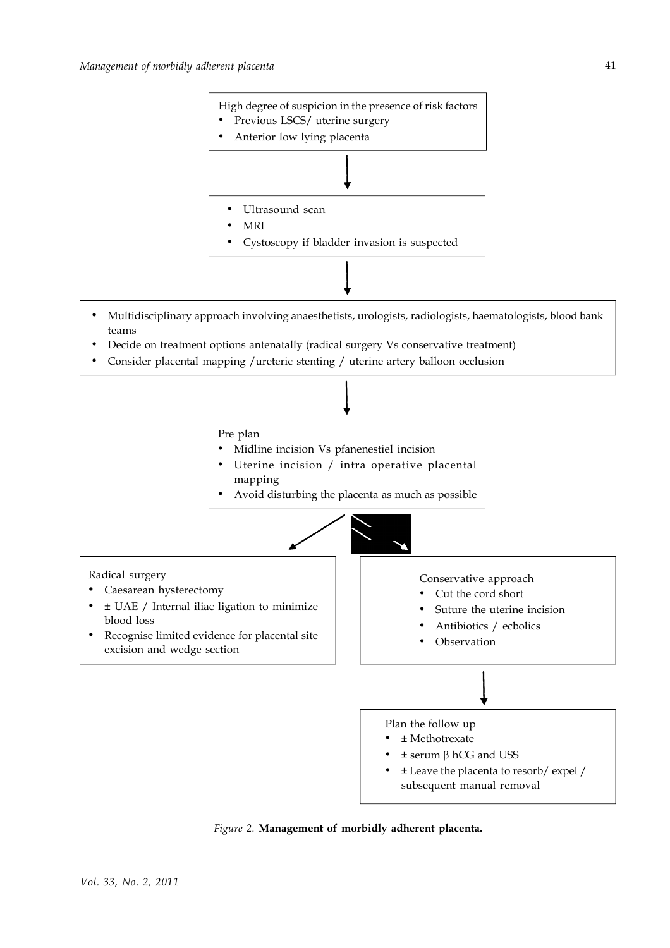

- Multidisciplinary approach involving anaesthetists, urologists, radiologists, haematologists, blood bank teams
- Decide on treatment options antenatally (radical surgery Vs conservative treatment)
- Consider placental mapping /ureteric stenting / uterine artery balloon occlusion



*Figure 2.* **Management of morbidly adherent placenta.**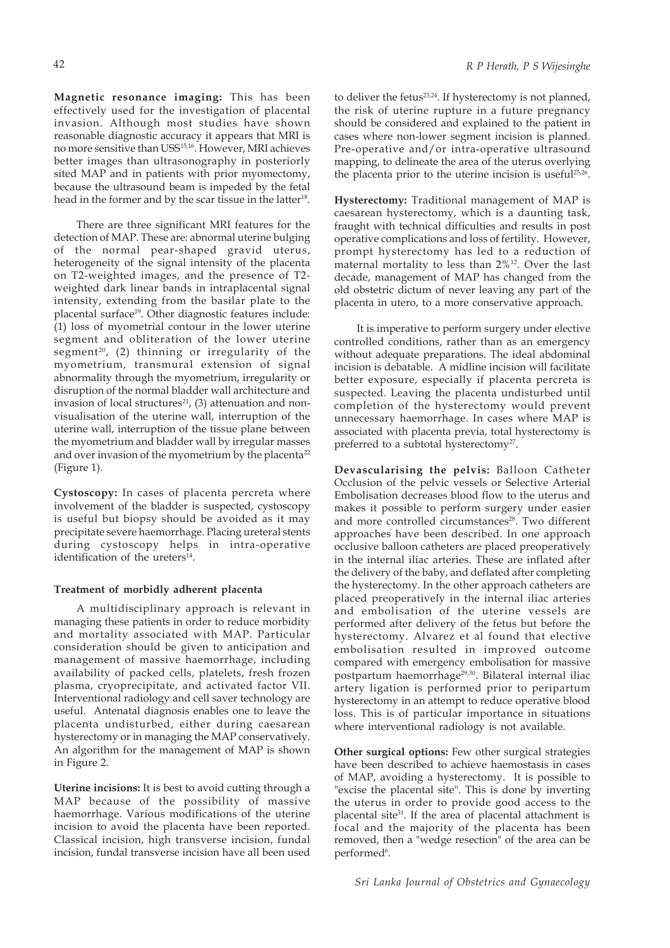**Magnetic resonance imaging:** This has been effectively used for the investigation of placental invasion. Although most studies have shown reasonable diagnostic accuracy it appears that MRI is no more sensitive than USS15,16. However, MRI achieves better images than ultrasonography in posteriorly sited MAP and in patients with prior myomectomy, because the ultrasound beam is impeded by the fetal head in the former and by the scar tissue in the latter<sup>18</sup>.

There are three significant MRI features for the detection of MAP. These are: abnormal uterine bulging of the normal pear-shaped gravid uterus, heterogeneity of the signal intensity of the placenta on T2-weighted images, and the presence of T2 weighted dark linear bands in intraplacental signal intensity, extending from the basilar plate to the placental surface<sup>19</sup>. Other diagnostic features include: (1) loss of myometrial contour in the lower uterine segment and obliteration of the lower uterine segment<sup>20</sup>, (2) thinning or irregularity of the myometrium, transmural extension of signal abnormality through the myometrium, irregularity or disruption of the normal bladder wall architecture and invasion of local structures $21$ , (3) attenuation and nonvisualisation of the uterine wall, interruption of the uterine wall, interruption of the tissue plane between the myometrium and bladder wall by irregular masses and over invasion of the myometrium by the placenta<sup>22</sup> (Figure 1).

**Cystoscopy:** In cases of placenta percreta where involvement of the bladder is suspected, cystoscopy is useful but biopsy should be avoided as it may precipitate severe haemorrhage. Placing ureteral stents during cystoscopy helps in intra-operative identification of the ureters<sup>14</sup>.

### **Treatment of morbidly adherent placenta**

A multidisciplinary approach is relevant in managing these patients in order to reduce morbidity and mortality associated with MAP. Particular consideration should be given to anticipation and management of massive haemorrhage, including availability of packed cells, platelets, fresh frozen plasma, cryoprecipitate, and activated factor VII. Interventional radiology and cell saver technology are useful. Antenatal diagnosis enables one to leave the placenta undisturbed, either during caesarean hysterectomy or in managing the MAP conservatively. An algorithm for the management of MAP is shown in Figure 2.

**Uterine incisions:** It is best to avoid cutting through a MAP because of the possibility of massive haemorrhage. Various modifications of the uterine incision to avoid the placenta have been reported. Classical incision, high transverse incision, fundal incision, fundal transverse incision have all been used

to deliver the fetus<sup>23,24</sup>. If hysterectomy is not planned, the risk of uterine rupture in a future pregnancy should be considered and explained to the patient in cases where non-lower segment incision is planned. Pre-operative and/or intra-operative ultrasound mapping, to delineate the area of the uterus overlying the placenta prior to the uterine incision is useful<sup>25,26</sup>.

**Hysterectomy:** Traditional management of MAP is caesarean hysterectomy, which is a daunting task, fraught with technical difficulties and results in post operative complications and loss of fertility. However, prompt hysterectomy has led to a reduction of maternal mortality to less than 2%12. Over the last decade, management of MAP has changed from the old obstetric dictum of never leaving any part of the placenta in utero, to a more conservative approach.

It is imperative to perform surgery under elective controlled conditions, rather than as an emergency without adequate preparations. The ideal abdominal incision is debatable. A midline incision will facilitate better exposure, especially if placenta percreta is suspected. Leaving the placenta undisturbed until completion of the hysterectomy would prevent unnecessary haemorrhage. In cases where MAP is associated with placenta previa, total hysterectomy is preferred to a subtotal hysterectomy<sup>27</sup>.

**Devascularising the pelvis:** Balloon Catheter Occlusion of the pelvic vessels or Selective Arterial Embolisation decreases blood flow to the uterus and makes it possible to perform surgery under easier and more controlled circumstances<sup>28</sup>. Two different approaches have been described. In one approach occlusive balloon catheters are placed preoperatively in the internal iliac arteries. These are inflated after the delivery of the baby, and deflated after completing the hysterectomy. In the other approach catheters are placed preoperatively in the internal iliac arteries and embolisation of the uterine vessels are performed after delivery of the fetus but before the hysterectomy. Alvarez et al found that elective embolisation resulted in improved outcome compared with emergency embolisation for massive postpartum haemorrhage<sup>29,30</sup>. Bilateral internal iliac artery ligation is performed prior to peripartum hysterectomy in an attempt to reduce operative blood loss. This is of particular importance in situations where interventional radiology is not available.

**Other surgical options:** Few other surgical strategies have been described to achieve haemostasis in cases of MAP, avoiding a hysterectomy. It is possible to "excise the placental site". This is done by inverting the uterus in order to provide good access to the placental site<sup>31</sup>. If the area of placental attachment is focal and the majority of the placenta has been removed, then a "wedge resection" of the area can be performed<sup>6</sup>.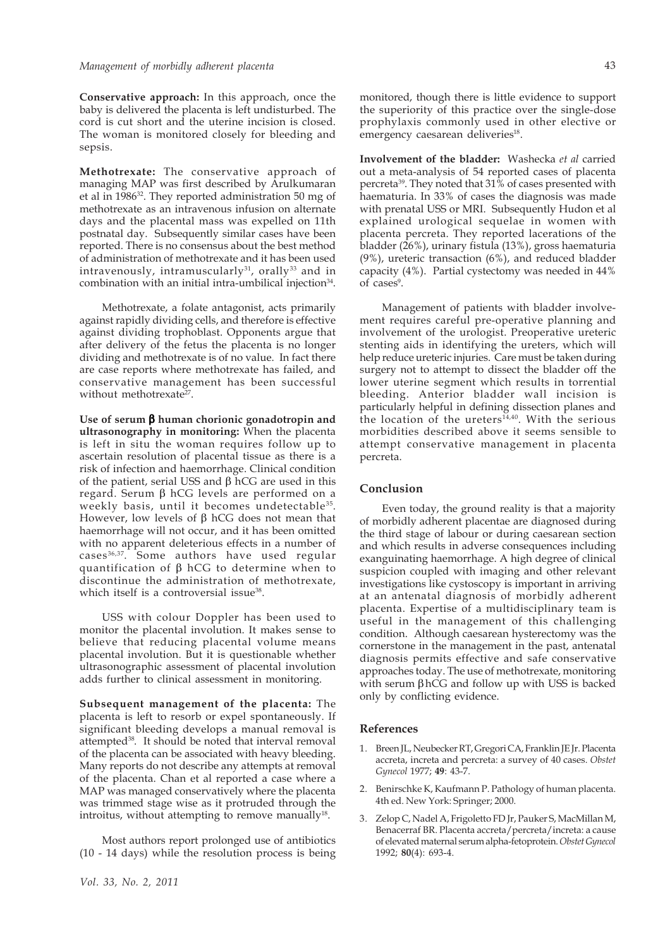**Conservative approach:** In this approach, once the baby is delivered the placenta is left undisturbed. The cord is cut short and the uterine incision is closed. The woman is monitored closely for bleeding and sepsis.

**Methotrexate:** The conservative approach of managing MAP was first described by Arulkumaran et al in 198632. They reported administration 50 mg of methotrexate as an intravenous infusion on alternate days and the placental mass was expelled on 11th postnatal day. Subsequently similar cases have been reported. There is no consensus about the best method of administration of methotrexate and it has been used intravenously, intramuscularly $31$ , orally $33$  and in combination with an initial intra-umbilical injection $34$ .

Methotrexate, a folate antagonist, acts primarily against rapidly dividing cells, and therefore is effective against dividing trophoblast. Opponents argue that after delivery of the fetus the placenta is no longer dividing and methotrexate is of no value. In fact there are case reports where methotrexate has failed, and conservative management has been successful without methotrexate<sup>27</sup>.

**Use of serum** β **human chorionic gonadotropin and ultrasonography in monitoring:** When the placenta is left in situ the woman requires follow up to ascertain resolution of placental tissue as there is a risk of infection and haemorrhage. Clinical condition of the patient, serial USS and β hCG are used in this regard. Serum β hCG levels are performed on a weekly basis, until it becomes undetectable<sup>35</sup>. However, low levels of  $β$  hCG does not mean that haemorrhage will not occur, and it has been omitted with no apparent deleterious effects in a number of cases 36,37. Some authors have used regular quantification of β hCG to determine when to discontinue the administration of methotrexate, which itself is a controversial issue<sup>38</sup>.

USS with colour Doppler has been used to monitor the placental involution. It makes sense to believe that reducing placental volume means placental involution. But it is questionable whether ultrasonographic assessment of placental involution adds further to clinical assessment in monitoring.

**Subsequent management of the placenta:** The placenta is left to resorb or expel spontaneously. If significant bleeding develops a manual removal is attempted38. It should be noted that interval removal of the placenta can be associated with heavy bleeding. Many reports do not describe any attempts at removal of the placenta. Chan et al reported a case where a MAP was managed conservatively where the placenta was trimmed stage wise as it protruded through the introitus, without attempting to remove manually $18$ .

Most authors report prolonged use of antibiotics (10 - 14 days) while the resolution process is being monitored, though there is little evidence to support the superiority of this practice over the single-dose prophylaxis commonly used in other elective or emergency caesarean deliveries<sup>18</sup>.

**Involvement of the bladder:** Washecka *et al* carried out a meta-analysis of 54 reported cases of placenta percreta39. They noted that 31% of cases presented with haematuria. In 33% of cases the diagnosis was made with prenatal USS or MRI. Subsequently Hudon et al explained urological sequelae in women with placenta percreta. They reported lacerations of the bladder (26%), urinary fistula (13%), gross haematuria (9%), ureteric transaction (6%), and reduced bladder capacity (4%). Partial cystectomy was needed in 44% of cases<sup>9</sup>.

Management of patients with bladder involvement requires careful pre-operative planning and involvement of the urologist. Preoperative ureteric stenting aids in identifying the ureters, which will help reduce ureteric injuries. Care must be taken during surgery not to attempt to dissect the bladder off the lower uterine segment which results in torrential bleeding. Anterior bladder wall incision is particularly helpful in defining dissection planes and the location of the ureters<sup>14,40</sup>. With the serious morbidities described above it seems sensible to attempt conservative management in placenta percreta.

### **Conclusion**

Even today, the ground reality is that a majority of morbidly adherent placentae are diagnosed during the third stage of labour or during caesarean section and which results in adverse consequences including exanguinating haemorrhage. A high degree of clinical suspicion coupled with imaging and other relevant investigations like cystoscopy is important in arriving at an antenatal diagnosis of morbidly adherent placenta. Expertise of a multidisciplinary team is useful in the management of this challenging condition. Although caesarean hysterectomy was the cornerstone in the management in the past, antenatal diagnosis permits effective and safe conservative approaches today. The use of methotrexate, monitoring with serum βhCG and follow up with USS is backed only by conflicting evidence.

#### **References**

- 1. Breen JL, Neubecker RT, Gregori CA, Franklin JE Jr. Placenta accreta, increta and percreta: a survey of 40 cases. *Obstet Gynecol* 1977; **49**: 43-7.
- 2. Benirschke K, Kaufmann P. Pathology of human placenta. 4th ed. New York: Springer; 2000.
- 3. Zelop C, Nadel A, Frigoletto FD Jr, Pauker S, MacMillan M, Benacerraf BR. Placenta accreta/percreta/increta: a cause of elevated maternal serum alpha-fetoprotein. *Obstet Gynecol* 1992; **80**(4): 693-4.